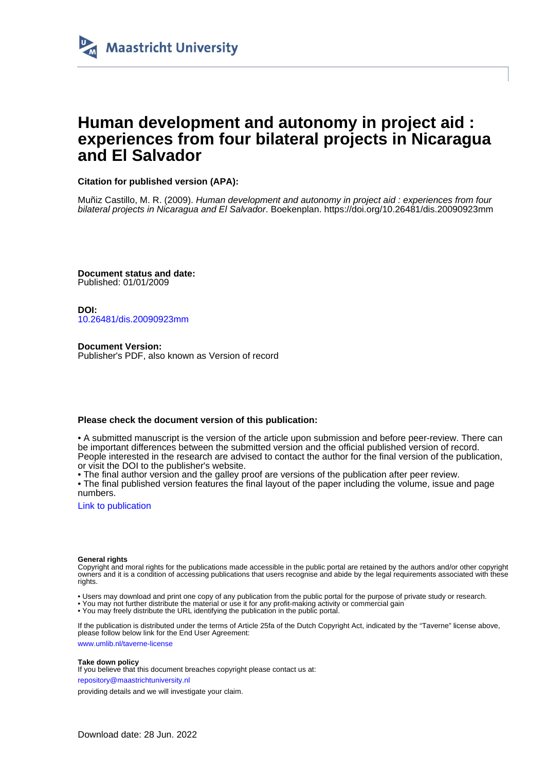

# **Human development and autonomy in project aid : experiences from four bilateral projects in Nicaragua and El Salvador**

### **Citation for published version (APA):**

Muñiz Castillo, M. R. (2009). Human development and autonomy in project aid : experiences from four bilateral projects in Nicaragua and El Salvador. Boekenplan.<https://doi.org/10.26481/dis.20090923mm>

**Document status and date:** Published: 01/01/2009

**DOI:** [10.26481/dis.20090923mm](https://doi.org/10.26481/dis.20090923mm)

**Document Version:** Publisher's PDF, also known as Version of record

#### **Please check the document version of this publication:**

• A submitted manuscript is the version of the article upon submission and before peer-review. There can be important differences between the submitted version and the official published version of record. People interested in the research are advised to contact the author for the final version of the publication, or visit the DOI to the publisher's website.

• The final author version and the galley proof are versions of the publication after peer review.

• The final published version features the final layout of the paper including the volume, issue and page numbers.

[Link to publication](https://cris.maastrichtuniversity.nl/en/publications/f239d524-4297-424f-84a7-99711d30851c)

#### **General rights**

Copyright and moral rights for the publications made accessible in the public portal are retained by the authors and/or other copyright owners and it is a condition of accessing publications that users recognise and abide by the legal requirements associated with these rights.

- Users may download and print one copy of any publication from the public portal for the purpose of private study or research.
- You may not further distribute the material or use it for any profit-making activity or commercial gain
- You may freely distribute the URL identifying the publication in the public portal.

If the publication is distributed under the terms of Article 25fa of the Dutch Copyright Act, indicated by the "Taverne" license above, please follow below link for the End User Agreement:

www.umlib.nl/taverne-license

#### **Take down policy**

If you believe that this document breaches copyright please contact us at:

repository@maastrichtuniversity.nl

providing details and we will investigate your claim.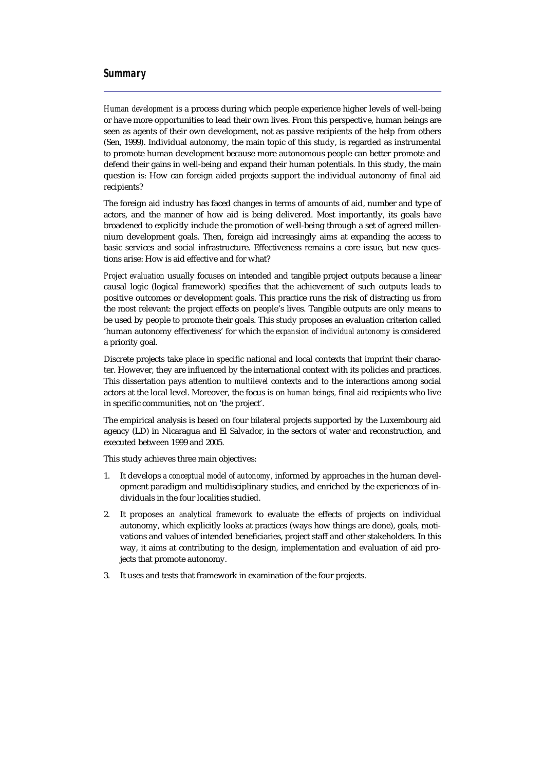## *Summary*

*Human development* is a process during which people experience higher levels of well-being or have more opportunities to lead their own lives. From this perspective, human beings are seen as agents of their own development, not as passive recipients of the help from others (Sen, 1999). Individual autonomy, the main topic of this study, is regarded as instrumental to promote human development because more autonomous people can better promote and defend their gains in well-being and expand their human potentials. In this study, the main question is: How can foreign aided projects support the individual autonomy of final aid recipients?

The foreign aid industry has faced changes in terms of amounts of aid, number and type of actors, and the manner of how aid is being delivered. Most importantly, its goals have broadened to explicitly include the promotion of well-being through a set of agreed millennium development goals. Then, foreign aid increasingly aims at expanding the access to basic services and social infrastructure. Effectiveness remains a core issue, but new questions arise: How is aid effective and for what?

*Project evaluation* usually focuses on intended and tangible project outputs because a linear causal logic (logical framework) specifies that the achievement of such outputs leads to positive outcomes or development goals. This practice runs the risk of distracting us from the most relevant: the project effects on people's lives. Tangible outputs are only means to be used by people to promote their goals. This study proposes an evaluation criterion called 'human autonomy effectiveness' for which *the expansion of individual autonomy* is considered a priority goal.

Discrete projects take place in specific national and local contexts that imprint their character. However, they are influenced by the international context with its policies and practices. This dissertation pays attention to *multilevel* contexts and to the interactions among social actors at the local level. Moreover, the focus is on *human beings,* final aid recipients who live in specific communities, not on 'the project'.

The empirical analysis is based on four bilateral projects supported by the Luxembourg aid agency (LD) in Nicaragua and El Salvador, in the sectors of water and reconstruction, and executed between 1999 and 2005.

This study achieves three main objectives:

- 1. It develops *a conceptual model of autonomy*, informed by approaches in the human development paradigm and multidisciplinary studies, and enriched by the experiences of individuals in the four localities studied.
- 2. It proposes *an analytical framewor*k to evaluate the effects of projects on individual autonomy, which explicitly looks at practices (ways how things are done), goals, motivations and values of intended beneficiaries, project staff and other stakeholders. In this way, it aims at contributing to the design, implementation and evaluation of aid projects that promote autonomy.
- 3. It uses and tests that framework in examination of the four projects.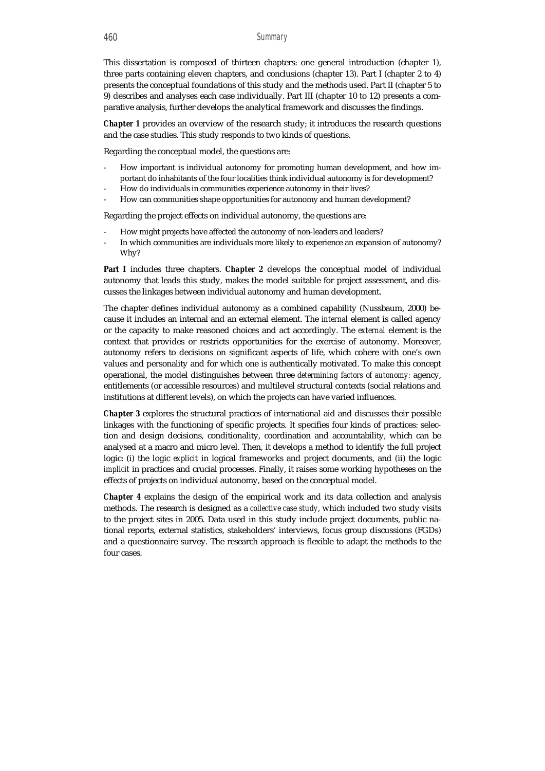This dissertation is composed of thirteen chapters: one general introduction (chapter 1), three parts containing eleven chapters, and conclusions (chapter 13). Part I (chapter 2 to 4) presents the conceptual foundations of this study and the methods used. Part II (chapter 5 to 9) describes and analyses each case individually. Part III (chapter 10 to 12) presents a comparative analysis, further develops the analytical framework and discusses the findings.

*Chapter 1* provides an overview of the research study; it introduces the research questions and the case studies. This study responds to two kinds of questions.

Regarding the conceptual model, the questions are:

- How important is individual autonomy for promoting human development, and how important do inhabitants of the four localities think individual autonomy is for development?
- How do individuals in communities experience autonomy in their lives?
- How can communities shape opportunities for autonomy and human development?

Regarding the project effects on individual autonomy, the questions are:

- How might projects have affected the autonomy of non-leaders and leaders?
- In which communities are individuals more likely to experience an expansion of autonomy? Why?

**Part I** includes three chapters. *Chapter 2* develops the conceptual model of individual autonomy that leads this study, makes the model suitable for project assessment, and discusses the linkages between individual autonomy and human development.

The chapter defines individual autonomy as a combined capability (Nussbaum, 2000) because it includes an internal and an external element. The *internal* element is called agency or the capacity to make reasoned choices and act accordingly. The *external* element is the context that provides or restricts opportunities for the exercise of autonomy. Moreover, autonomy refers to decisions on significant aspects of life, which cohere with one's own values and personality and for which one is authentically motivated. To make this concept operational, the model distinguishes between three *determining factors of autonomy:* agency, entitlements (or accessible resources) and multilevel structural contexts (social relations and institutions at different levels), on which the projects can have varied influences.

*Chapter 3* explores the structural practices of international aid and discusses their possible linkages with the functioning of specific projects. It specifies four kinds of practices: selection and design decisions, conditionality, coordination and accountability, which can be analysed at a macro and micro level. Then, it develops a method to identify the full project logic: (i) the logic *explicit* in logical frameworks and project documents, and (ii) the logic *implicit* in practices and crucial processes. Finally, it raises some working hypotheses on the effects of projects on individual autonomy, based on the conceptual model.

*Chapter 4* explains the design of the empirical work and its data collection and analysis methods. The research is designed as a *collective case study*, which included two study visits to the project sites in 2005. Data used in this study include project documents, public national reports, external statistics, stakeholders' interviews, focus group discussions (FGDs) and a questionnaire survey. The research approach is flexible to adapt the methods to the four cases.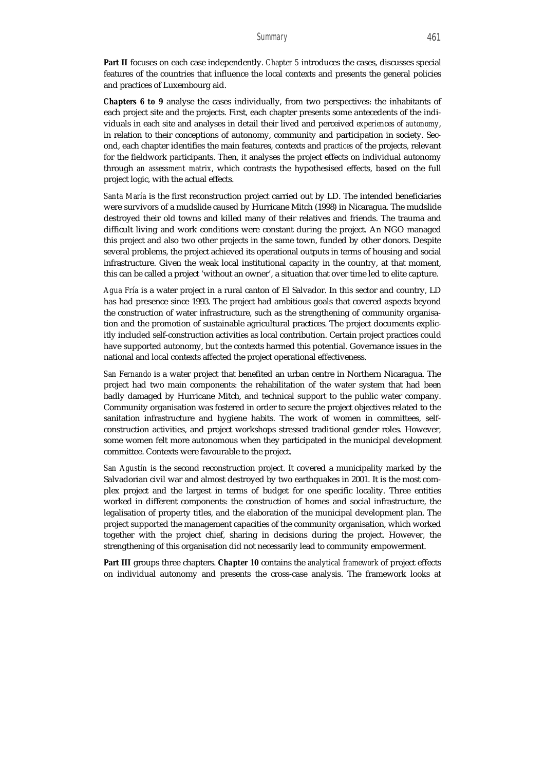**Part II** focuses on each case independently. *Chapter 5* introduces the cases, discusses special features of the countries that influence the local contexts and presents the general policies and practices of Luxembourg aid.

*Chapters 6 to 9* analyse the cases individually, from two perspectives: the inhabitants of each project site and the projects. First, each chapter presents some antecedents of the individuals in each site and analyses in detail their lived and perceived *experiences of autonomy*, in relation to their conceptions of autonomy, community and participation in society. Second, each chapter identifies the main features, contexts and *practices* of the projects, relevant for the fieldwork participants. Then, it analyses the project effects on individual autonomy through *an assessment matrix*, which contrasts the hypothesised effects, based on the full project logic, with the actual effects.

*Santa María* is the first reconstruction project carried out by LD. The intended beneficiaries were survivors of a mudslide caused by Hurricane Mitch (1998) in Nicaragua. The mudslide destroyed their old towns and killed many of their relatives and friends. The trauma and difficult living and work conditions were constant during the project. An NGO managed this project and also two other projects in the same town, funded by other donors. Despite several problems, the project achieved its operational outputs in terms of housing and social infrastructure. Given the weak local institutional capacity in the country, at that moment, this can be called a project 'without an owner', a situation that over time led to elite capture.

*Agua Fría* is a water project in a rural canton of El Salvador. In this sector and country, LD has had presence since 1993. The project had ambitious goals that covered aspects beyond the construction of water infrastructure, such as the strengthening of community organisation and the promotion of sustainable agricultural practices. The project documents explicitly included self-construction activities as local contribution. Certain project practices could have supported autonomy, but the contexts harmed this potential. Governance issues in the national and local contexts affected the project operational effectiveness.

*San Fernando* is a water project that benefited an urban centre in Northern Nicaragua. The project had two main components: the rehabilitation of the water system that had been badly damaged by Hurricane Mitch, and technical support to the public water company. Community organisation was fostered in order to secure the project objectives related to the sanitation infrastructure and hygiene habits. The work of women in committees, selfconstruction activities, and project workshops stressed traditional gender roles. However, some women felt more autonomous when they participated in the municipal development committee. Contexts were favourable to the project.

*San Agustín* is the second reconstruction project. It covered a municipality marked by the Salvadorian civil war and almost destroyed by two earthquakes in 2001. It is the most complex project and the largest in terms of budget for one specific locality. Three entities worked in different components: the construction of homes and social infrastructure, the legalisation of property titles, and the elaboration of the municipal development plan. The project supported the management capacities of the community organisation, which worked together with the project chief, sharing in decisions during the project. However, the strengthening of this organisation did not necessarily lead to community empowerment.

**Part III** groups three chapters. *Chapter 10* contains the *analytical framework* of project effects on individual autonomy and presents the cross-case analysis. The framework looks at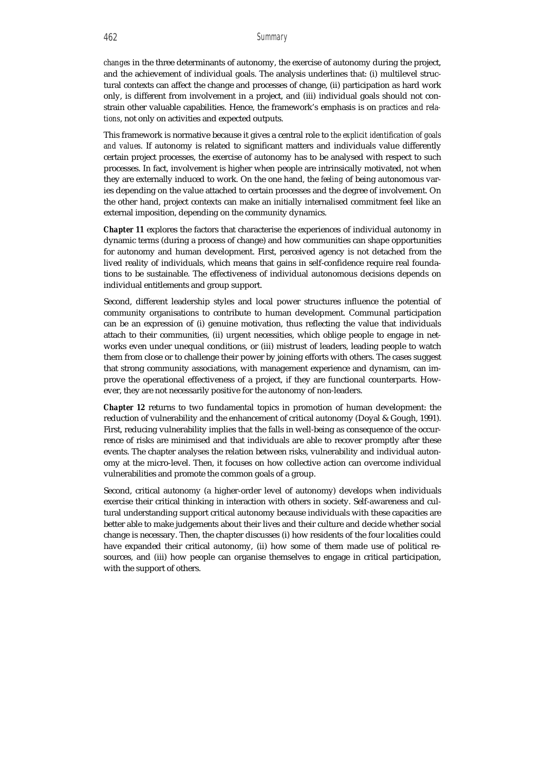*changes* in the three determinants of autonomy, the exercise of autonomy during the project, and the achievement of individual goals. The analysis underlines that: (i) multilevel structural contexts can affect the change and processes of change, (ii) participation as hard work only, is different from involvement in a project, and (iii) individual goals should not constrain other valuable capabilities. Hence, the framework's emphasis is on *practices and relations*, not only on activities and expected outputs.

This framework is normative because it gives a central role to *the explicit identification of goals and values*. If autonomy is related to significant matters and individuals value differently certain project processes, the exercise of autonomy has to be analysed with respect to such processes. In fact, involvement is higher when people are intrinsically motivated, not when they are externally induced to work. On the one hand, the *feeling* of being autonomous varies depending on the value attached to certain processes and the degree of involvement. On the other hand, project contexts can make an initially internalised commitment feel like an external imposition, depending on the community dynamics.

*Chapter 11* explores the factors that characterise the experiences of individual autonomy in dynamic terms (during a process of change) and how communities can shape opportunities for autonomy and human development. First, perceived agency is not detached from the lived reality of individuals, which means that gains in self-confidence require real foundations to be sustainable. The effectiveness of individual autonomous decisions depends on individual entitlements and group support.

Second, different leadership styles and local power structures influence the potential of community organisations to contribute to human development. Communal participation can be an expression of (i) genuine motivation, thus reflecting the value that individuals attach to their communities, (ii) urgent necessities, which oblige people to engage in networks even under unequal conditions, or (iii) mistrust of leaders, leading people to watch them from close or to challenge their power by joining efforts with others. The cases suggest that strong community associations, with management experience and dynamism, can improve the operational effectiveness of a project, if they are functional counterparts. However, they are not necessarily positive for the autonomy of non-leaders.

*Chapter 12* returns to two fundamental topics in promotion of human development: the reduction of vulnerability and the enhancement of critical autonomy (Doyal & Gough, 1991). First, reducing vulnerability implies that the falls in well-being as consequence of the occurrence of risks are minimised and that individuals are able to recover promptly after these events. The chapter analyses the relation between risks, vulnerability and individual autonomy at the micro-level. Then, it focuses on how collective action can overcome individual vulnerabilities and promote the common goals of a group.

Second, critical autonomy (a higher-order level of autonomy) develops when individuals exercise their critical thinking in interaction with others in society. Self-awareness and cultural understanding support critical autonomy because individuals with these capacities are better able to make judgements about their lives and their culture and decide whether social change is necessary. Then, the chapter discusses (i) how residents of the four localities could have expanded their critical autonomy, (ii) how some of them made use of political resources, and (iii) how people can organise themselves to engage in critical participation, with the support of others.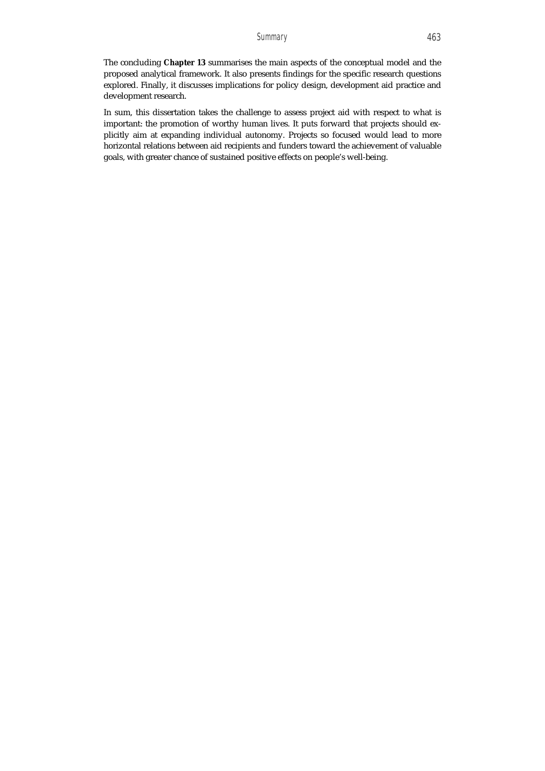The concluding **Chapter 13** summarises the main aspects of the conceptual model and the proposed analytical framework. It also presents findings for the specific research questions explored. Finally, it discusses implications for policy design, development aid practice and development research.

In sum, this dissertation takes the challenge to assess project aid with respect to what is important: the promotion of worthy human lives. It puts forward that projects should explicitly aim at expanding individual autonomy. Projects so focused would lead to more horizontal relations between aid recipients and funders toward the achievement of valuable goals, with greater chance of sustained positive effects on people's well-being.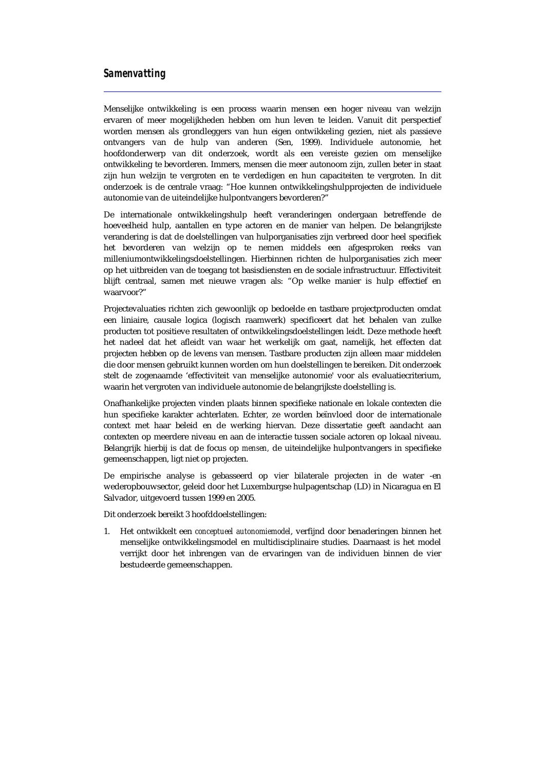## *Samenvatting*

Menselijke ontwikkeling is een process waarin mensen een hoger niveau van welzijn ervaren of meer mogelijkheden hebben om hun leven te leiden. Vanuit dit perspectief worden mensen als grondleggers van hun eigen ontwikkeling gezien, niet als passieve ontvangers van de hulp van anderen (Sen, 1999). Individuele autonomie, het hoofdonderwerp van dit onderzoek, wordt als een vereiste gezien om menselijke ontwikkeling te bevorderen. Immers, mensen die meer autonoom zijn, zullen beter in staat zijn hun welzijn te vergroten en te verdedigen en hun capaciteiten te vergroten. In dit onderzoek is de centrale vraag: "Hoe kunnen ontwikkelingshulpprojecten de individuele autonomie van de uiteindelijke hulpontvangers bevorderen?"

De internationale ontwikkelingshulp heeft veranderingen ondergaan betreffende de hoeveelheid hulp, aantallen en type actoren en de manier van helpen. De belangrijkste verandering is dat de doelstellingen van hulporganisaties zijn verbreed door heel specifiek het bevorderen van welzijn op te nemen middels een afgesproken reeks van milleniumontwikkelingsdoelstellingen. Hierbinnen richten de hulporganisaties zich meer op het uitbreiden van de toegang tot basisdiensten en de sociale infrastructuur. Effectiviteit blijft centraal, samen met nieuwe vragen als: "Op welke manier is hulp effectief en waarvoor?"

Projectevaluaties richten zich gewoonlijk op bedoelde en tastbare projectproducten omdat een liniaire, causale logica (logisch raamwerk) specificeert dat het behalen van zulke producten tot positieve resultaten of ontwikkelingsdoelstellingen leidt. Deze methode heeft het nadeel dat het afleidt van waar het werkelijk om gaat, namelijk, het effecten dat projecten hebben op de levens van mensen. Tastbare producten zijn alleen maar middelen die door mensen gebruikt kunnen worden om hun doelstellingen te bereiken. Dit onderzoek stelt de zogenaamde 'effectiviteit van menselijke autonomie' voor als evaluatiecriterium, waarin het vergroten van individuele autonomie de belangrijkste doelstelling is.

Onafhankelijke projecten vinden plaats binnen specifieke nationale en lokale contexten die hun specifieke karakter achterlaten. Echter, ze worden beïnvloed door de internationale context met haar beleid en de werking hiervan. Deze dissertatie geeft aandacht aan contexten op meerdere niveau en aan de interactie tussen sociale actoren op lokaal niveau. Belangrijk hierbij is dat de focus op *mensen,* de uiteindelijke hulpontvangers in specifieke gemeenschappen, ligt niet op projecten.

De empirische analyse is gebasseerd op vier bilaterale projecten in de water -en wederopbouwsector, geleid door het Luxemburgse hulpagentschap (LD) in Nicaragua en El Salvador, uitgevoerd tussen 1999 en 2005.

Dit onderzoek bereikt 3 hoofddoelstellingen:

1. Het ontwikkelt een *conceptueel autonomiemodel*, verfijnd door benaderingen binnen het menselijke ontwikkelingsmodel en multidisciplinaire studies. Daarnaast is het model verrijkt door het inbrengen van de ervaringen van de individuen binnen de vier bestudeerde gemeenschappen.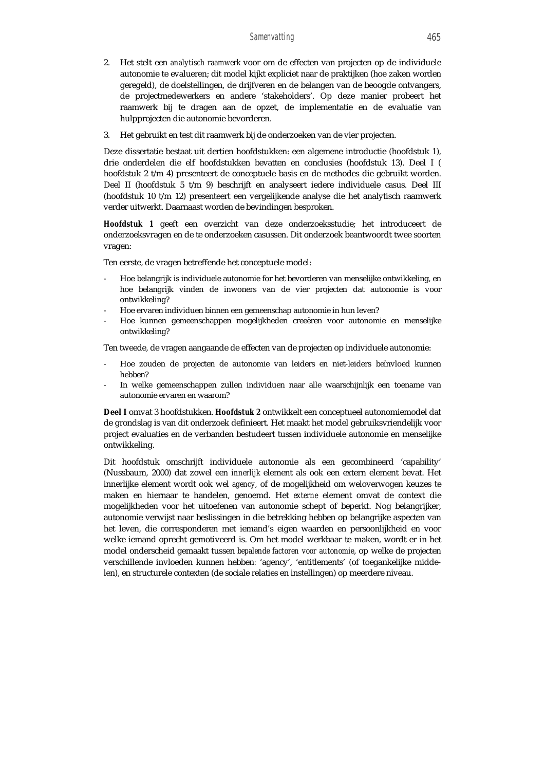- 2. Het stelt een *analytisch raamwerk* voor om de effecten van projecten op de individuele autonomie te evalueren; dit model kijkt expliciet naar de praktijken (hoe zaken worden geregeld), de doelstellingen, de drijfveren en de belangen van de beoogde ontvangers, de projectmedewerkers en andere 'stakeholders'. Op deze manier probeert het raamwerk bij te dragen aan de opzet, de implementatie en de evaluatie van hulpprojecten die autonomie bevorderen.
- 3. Het gebruikt en test dit raamwerk bij de onderzoeken van de vier projecten.

Deze dissertatie bestaat uit dertien hoofdstukken: een algemene introductie (hoofdstuk 1), drie onderdelen die elf hoofdstukken bevatten en conclusies (hoofdstuk 13). Deel I ( hoofdstuk 2 t/m 4) presenteert de conceptuele basis en de methodes die gebruikt worden. Deel II (hoofdstuk 5 t/m 9) beschrijft en analyseert iedere individuele casus. Deel III (hoofdstuk 10 t/m 12) presenteert een vergelijkende analyse die het analytisch raamwerk verder uitwerkt. Daarnaast worden de bevindingen besproken.

*Hoofdstuk 1* geeft een overzicht van deze onderzoeksstudie; het introduceert de onderzoeksvragen en de te onderzoeken casussen. Dit onderzoek beantwoordt twee soorten vragen:

Ten eerste, de vragen betreffende het conceptuele model:

- Hoe belangrijk is individuele autonomie for het bevorderen van menselijke ontwikkeling, en hoe belangrijk vinden de inwoners van de vier projecten dat autonomie is voor ontwikkeling?
- Hoe ervaren individuen binnen een gemeenschap autonomie in hun leven?
- Hoe kunnen gemeenschappen mogelijkheden creeëren voor autonomie en menselijke ontwikkeling?

Ten tweede, de vragen aangaande de effecten van de projecten op individuele autonomie:

- Hoe zouden de projecten de autonomie van leiders en niet-leiders beïnvloed kunnen hebben?
- In welke gemeenschappen zullen individuen naar alle waarschijnlijk een toename van autonomie ervaren en waarom?

**Deel I** omvat 3 hoofdstukken. *Hoofdstuk 2* ontwikkelt een conceptueel autonomiemodel dat de grondslag is van dit onderzoek definieert. Het maakt het model gebruiksvriendelijk voor project evaluaties en de verbanden bestudeert tussen individuele autonomie en menselijke ontwikkeling.

Dit hoofdstuk omschrijft individuele autonomie als een gecombineerd 'capability' (Nussbaum, 2000) dat zowel een *innerlijk* element als ook een extern element bevat. Het innerlijke element wordt ook wel *agency,* of de mogelijkheid om weloverwogen keuzes te maken en hiernaar te handelen, genoemd. Het *externe* element omvat de context die mogelijkheden voor het uitoefenen van autonomie schept of beperkt. Nog belangrijker, autonomie verwijst naar beslissingen in die betrekking hebben op belangrijke aspecten van het leven, die corresponderen met iemand's eigen waarden en persoonlijkheid en voor welke iemand oprecht gemotiveerd is. Om het model werkbaar te maken, wordt er in het model onderscheid gemaakt tussen *bepalende factoren voor autonomie*, op welke de projecten verschillende invloeden kunnen hebben*:* 'agency', 'entitlements' (of toegankelijke middelen), en structurele contexten (de sociale relaties en instellingen) op meerdere niveau.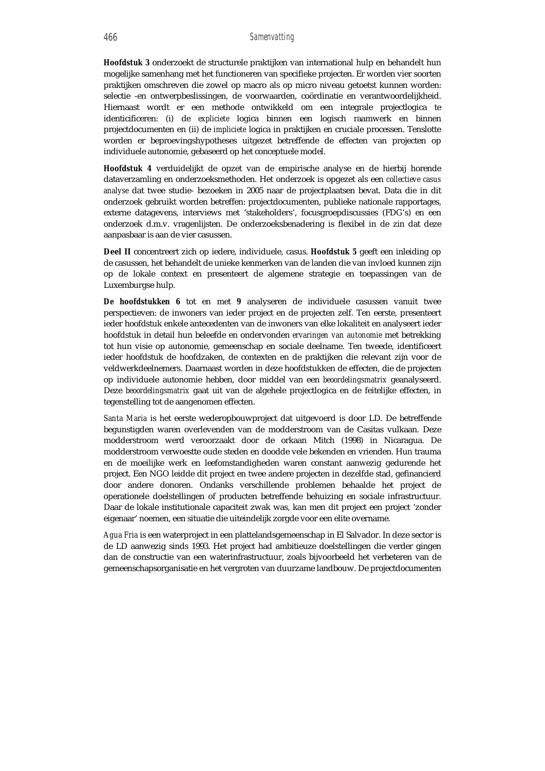*Hoofdstuk 3* onderzoekt de structurele praktijken van international hulp en behandelt hun mogelijke samenhang met het functioneren van specifieke projecten. Er worden vier soorten praktijken omschreven die zowel op macro als op micro niveau getoetst kunnen worden: selectie -en ontwerpbeslissingen, de voorwaarden, coördinatie en verantwoordelijkheid. Hiernaast wordt er een methode ontwikkeld om een integrale projectlogica te identicificeren: (i) de *expliciete* logica binnen een logisch raamwerk en binnen projectdocumenten en (ii) de *impliciete* logica in praktijken en cruciale processen. Tenslotte worden er beproevingshypotheses uitgezet betreffende de effecten van projecten op individuele autonomie, gebaseerd op het conceptuele model.

*Hoofdstuk 4* verduidelijkt de opzet van de empirische analyse en de hierbij horende dataverzamling en onderzoeksmethoden. Het onderzoek is opgezet als een *collectieve casus analyse* dat twee studie- bezoeken in 2005 naar de projectplaatsen bevat. Data die in dit onderzoek gebruikt worden betreffen: projectdocumenten, publieke nationale rapportages, externe datagevens, interviews met 'stakeholders', focusgroepdiscussies (FDG's) en een onderzoek d.m.v. vragenlijsten. De onderzoeksbenadering is flexibel in de zin dat deze aanpasbaar is aan de vier casussen.

**Deel II** concentreert zich op iedere, individuele, casus. *Hoofdstuk 5* geeft een inleiding op de casussen, het behandelt de unieke kenmerken van de landen die van invloed kunnen zijn op de lokale context en presenteert de algemene strategie en toepassingen van de Luxemburgse hulp.

*De hoofdstukken 6* tot en met *9* analyseren de individuele casussen vanuit twee perspectieven: de inwoners van ieder project en de projecten zelf. Ten eerste, presenteert ieder hoofdstuk enkele antecedenten van de inwoners van elke lokaliteit en analyseert ieder hoofdstuk in detail hun beleefde en ondervonden *ervaringen van autonomie* met betrekking tot hun visie op autonomie, gemeenschap en sociale deelname. Ten tweede, identificeert ieder hoofdstuk de hoofdzaken, de contexten en de praktijken die relevant zijn voor de veldwerkdeelnemers. Daarnaast worden in deze hoofdstukken de effecten, die de projecten op individuele autonomie hebben, door middel van een *beoordelingsmatrix* geanalyseerd. Deze *beoordelingsmatrix* gaat uit van de algehele projectlogica en de feitelijke effecten, in tegenstelling tot de aangenomen effecten.

*Santa Maria* is het eerste wederopbouwproject dat uitgevoerd is door LD. De betreffende begunstigden waren overlevenden van de modderstroom van de Casitas vulkaan. Deze modderstroom werd veroorzaakt door de orkaan Mitch (1998) in Nicaragua. De modderstroom verwoestte oude steden en doodde vele bekenden en vrienden. Hun trauma en de moeilijke werk en leefomstandigheden waren constant aanwezig gedurende het project. Een NGO leidde dit project en twee andere projecten in dezelfde stad, gefinancierd door andere donoren. Ondanks verschillende problemen behaalde het project de operationele doelstellingen of producten betreffende behuizing en sociale infrastructuur. Daar de lokale institutionale capaciteit zwak was, kan men dit project een project 'zonder eigenaar' noemen, een situatie die uiteindelijk zorgde voor een elite overname.

*Agua Fria* is een waterproject in een plattelandsgemeenschap in El Salvador. In deze sector is de LD aanwezig sinds 1993. Het project had ambitieuze doelstellingen die verder gingen dan de constructie van een waterinfrastructuur, zoals bijvoorbeeld het verbeteren van de gemeenschapsorganisatie en het vergroten van duurzame landbouw. De projectdocumenten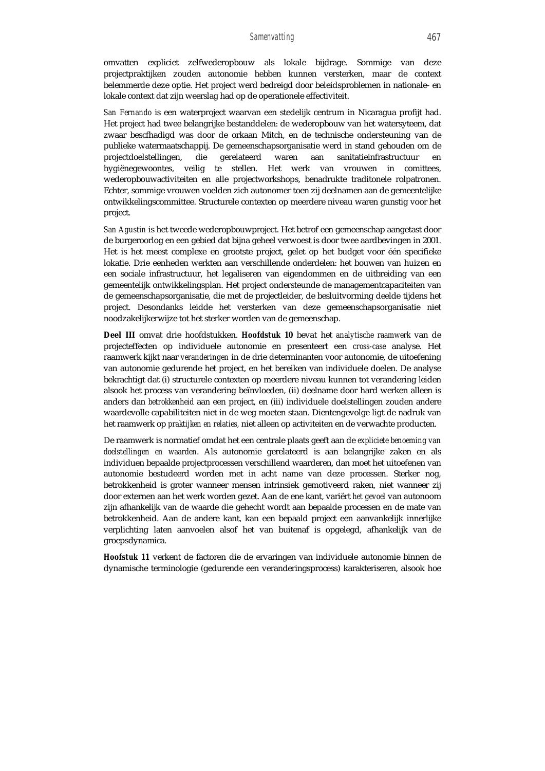omvatten expliciet zelfwederopbouw als lokale bijdrage. Sommige van deze projectpraktijken zouden autonomie hebben kunnen versterken, maar de context belemmerde deze optie. Het project werd bedreigd door beleidsproblemen in nationale- en lokale context dat zijn weerslag had op de operationele effectiviteit.

*San Fernando* is een waterproject waarvan een stedelijk centrum in Nicaragua profijt had. Het project had twee belangrijke bestanddelen: de wederopbouw van het watersyteem, dat zwaar bescfhadigd was door de orkaan Mitch, en de technische ondersteuning van de publieke watermaatschappij. De gemeenschapsorganisatie werd in stand gehouden om de projectdoelstellingen, die gerelateerd waren aan sanitatieinfrastructuur hygiënegewoontes, veilig te stellen. Het werk van vrouwen in comittees, wederopbouwactiviteiten en alle projectworkshops, benadrukte traditonele rolpatronen. Echter, sommige vrouwen voelden zich autonomer toen zij deelnamen aan de gemeentelijke ontwikkelingscommittee. Structurele contexten op meerdere niveau waren gunstig voor het project.

*San Agustin* is het tweede wederopbouwproject. Het betrof een gemeenschap aangetast door de burgeroorlog en een gebied dat bijna geheel verwoest is door twee aardbevingen in 2001. Het is het meest complexe en grootste project, gelet op het budget voor één specifieke lokatie. Drie eenheden werkten aan verschillende onderdelen: het bouwen van huizen en een sociale infrastructuur, het legaliseren van eigendommen en de uitbreiding van een gemeentelijk ontwikkelingsplan. Het project ondersteunde de managementcapaciteiten van de gemeenschapsorganisatie, die met de projectleider, de besluitvorming deelde tijdens het project. Desondanks leidde het versterken van deze gemeenschapsorganisatie niet noodzakelijkerwijze tot het sterker worden van de gemeenschap.

**Deel III** omvat drie hoofdstukken. *Hoofdstuk 10* bevat het *analytische raamwerk* van de projecteffecten op individuele autonomie en presenteert een *cross-case* analyse. Het raamwerk kijkt naar *veranderingen* in de drie determinanten voor autonomie, de uitoefening van autonomie gedurende het project, en het bereiken van individuele doelen. De analyse bekrachtigt dat (i) structurele contexten op meerdere niveau kunnen tot verandering leiden alsook het process van verandering beïnvloeden, (ii) deelname door hard werken alleen is anders dan *betrokkenheid* aan een project, en (iii) individuele doelstellingen zouden andere waardevolle capabiliteiten niet in de weg moeten staan. Dientengevolge ligt de nadruk van het raamwerk op *praktijken en relaties,* niet alleen op activiteiten en de verwachte producten.

De raamwerk is normatief omdat het een centrale plaats geeft aan de *expliciete benoeming van doelstellingen en waarden*. Als autonomie gerelateerd is aan belangrijke zaken en als individuen bepaalde projectprocessen verschillend waarderen, dan moet het uitoefenen van autonomie bestudeerd worden met in acht name van deze processen. Sterker nog, betrokkenheid is groter wanneer mensen intrinsiek gemotiveerd raken, niet wanneer zij door externen aan het werk worden gezet. Aan de ene kant, variërt *het gevoel* van autonoom zijn afhankelijk van de waarde die gehecht wordt aan bepaalde processen en de mate van betrokkenheid. Aan de andere kant, kan een bepaald project een aanvankelijk innerlijke verplichting laten aanvoelen alsof het van buitenaf is opgelegd, afhankelijk van de groepsdynamica.

*Hoofstuk 11* verkent de factoren die de ervaringen van individuele autonomie binnen de dynamische terminologie (gedurende een veranderingsprocess) karakteriseren, alsook hoe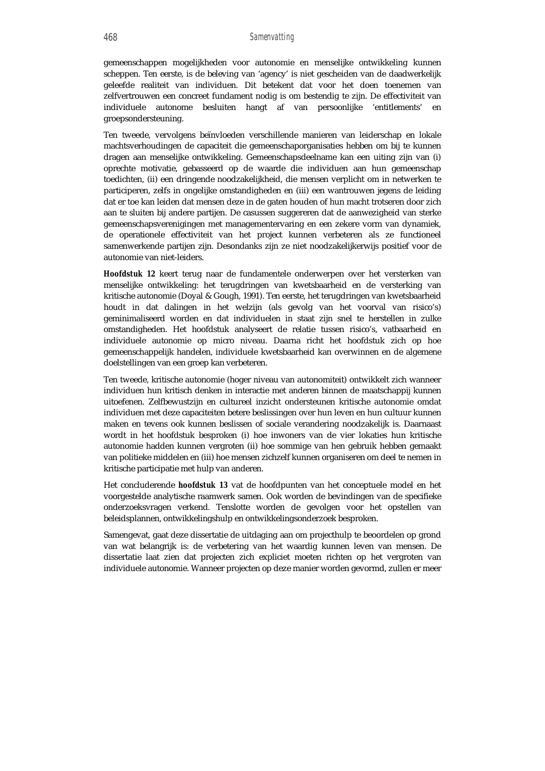gemeenschappen mogelijkheden voor autonomie en menselijke ontwikkeling kunnen scheppen. Ten eerste, is de beleving van 'agency' is niet gescheiden van de daadwerkelijk geleefde realiteit van individuen. Dit betekent dat voor het doen toenemen van zelfvertrouwen een concreet fundament nodig is om bestendig te zijn. De effectiviteit van individuele autonome besluiten hangt af van persoonlijke 'entitlements' en groepsondersteuning.

Ten tweede, vervolgens beïnvloeden verschillende manieren van leiderschap en lokale machtsverhoudingen de capaciteit die gemeenschaporganisaties hebben om bij te kunnen dragen aan menselijke ontwikkeling. Gemeenschapsdeelname kan een uiting zijn van (i) oprechte motivatie, gebasseerd op de waarde die individuen aan hun gemeenschap toedichten, (ii) een dringende noodzakelijkheid, die mensen verplicht om in netwerken te participeren, zelfs in ongelijke omstandigheden en (iii) een wantrouwen jegens de leiding dat er toe kan leiden dat mensen deze in de gaten houden of hun macht trotseren door zich aan te sluiten bij andere partijen. De casussen suggereren dat de aanwezigheid van sterke gemeenschapsverenigingen met managementervaring en een zekere vorm van dynamiek, de operationele effectiviteit van het project kunnen verbeteren als ze functioneel samenwerkende partijen zijn. Desondanks zijn ze niet noodzakelijkerwijs positief voor de autonomie van niet-leiders.

*Hoofdstuk 12* keert terug naar de fundamentele onderwerpen over het versterken van menselijke ontwikkeling: het terugdringen van kwetsbaarheid en de versterking van kritische autonomie (Doyal & Gough, 1991). Ten eerste, het terugdringen van kwetsbaarheid houdt in dat dalingen in het welzijn (als gevolg van het voorval van risico's) geminimaliseerd worden en dat individuelen in staat zijn snel te herstellen in zulke omstandigheden. Het hoofdstuk analyseert de relatie tussen risico's, vatbaarheid en individuele autonomie op micro niveau. Daarna richt het hoofdstuk zich op hoe gemeenschappelijk handelen, individuele kwetsbaarheid kan overwinnen en de algemene doelstellingen van een groep kan verbeteren.

Ten tweede, kritische autonomie (hoger niveau van autonomiteit) ontwikkelt zich wanneer individuen hun kritisch denken in interactie met anderen binnen de maatschappij kunnen uitoefenen. Zelfbewustzijn en cultureel inzicht ondersteunen kritische autonomie omdat individuen met deze capaciteiten betere beslissingen over hun leven en hun cultuur kunnen maken en tevens ook kunnen beslissen of sociale verandering noodzakelijk is. Daarnaast wordt in het hoofdstuk besproken (i) hoe inwoners van de vier lokaties hun kritische autonomie hadden kunnen vergroten (ii) hoe sommige van hen gebruik hebben gemaakt van politieke middelen en (iii) hoe mensen zichzelf kunnen organiseren om deel te nemen in kritische participatie met hulp van anderen.

Het concluderende *hoofdstuk 13* vat de hoofdpunten van het conceptuele model en het voorgestelde analytische raamwerk samen. Ook worden de bevindingen van de specifieke onderzoeksvragen verkend. Tenslotte worden de gevolgen voor het opstellen van beleidsplannen, ontwikkelingshulp en ontwikkelingsonderzoek besproken.

Samengevat, gaat deze dissertatie de uitdaging aan om projecthulp te beoordelen op grond van wat belangrijk is: de verbetering van het waardig kunnen leven van mensen. De dissertatie laat zien dat projecten zich expliciet moeten richten op het vergroten van individuele autonomie. Wanneer projecten op deze manier worden gevormd, zullen er meer